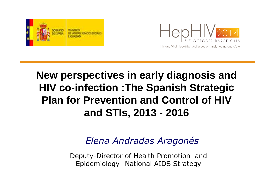



## **New perspectives in early diagnosis and HIV co-infection :The Spanish Strategic Plan for Prevention and Control of HIV and STIs, 2013 - 2016**

### *Elena Andradas Aragonés*

Deputy-Director of Health Promotion and Epidemiology- National AIDS Strategy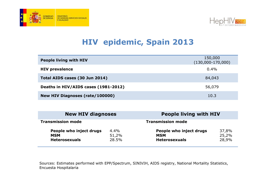



### **HIV epidemic, Spain 2013**

| <b>People living with HIV</b>          | 150,000<br>$(130,000-170,000)$ |
|----------------------------------------|--------------------------------|
| <b>HIV prevalence</b>                  | $0.4\%$                        |
| Total AIDS cases (30 Jun 2014)         | 84,043                         |
| Deaths in HIV/AIDS cases (1981-2012)   | 56,079                         |
| <b>New HIV Diagnoses (rate/100000)</b> | 10.3                           |

| <b>New HIV diagnoses</b>                                      |                        | <b>People living with HIV</b>                                 |                         |
|---------------------------------------------------------------|------------------------|---------------------------------------------------------------|-------------------------|
| <b>Transmission mode</b>                                      |                        | <b>Transmission mode</b>                                      |                         |
| People who inject drugs<br><b>MSM</b><br><b>Heterosexuals</b> | 4.4%<br>51,2%<br>28.5% | People who inject drugs<br><b>MSM</b><br><b>Heterosexuals</b> | 37,8%<br>25,2%<br>28,9% |

Sources: Estimates performed with EPP/Spectrum, SINIVIH, AIDS registry, National Mortality Statistics, Encuesta Hospitalaria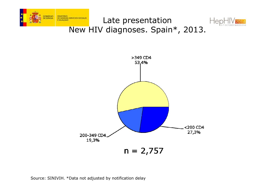





GOBERNO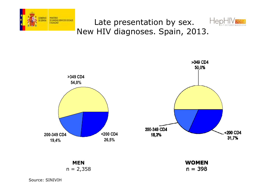



### Late presentation by sex. New HIV diagnoses. Spain, 2013.





 $n = 398$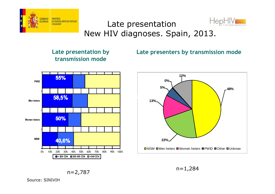

### $\cap$ Late presentation New HIV diagnoses. Spain, 2013.



#### **Late presentation by transmission mode**

#### **Late presenters by transmission mode**



n=1,284

n=2,787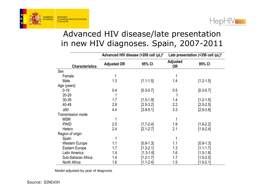



### Advanced HIV disease/late presentation in new HIV diagnoses. Spain, 2007-2011

|                          | Advanced HIV disease (<200 cell /µL)* |               | Late presentation (<350 cell / $\mu$ L)* |               |
|--------------------------|---------------------------------------|---------------|------------------------------------------|---------------|
| <b>Characteristics</b>   | <b>Adjusted OR</b>                    | 95% CI        | <b>Adjusted</b><br><b>OR</b>             | 95% CI        |
| Sex                      |                                       |               |                                          |               |
| Female                   | 1                                     |               |                                          |               |
| Male                     | 1.3                                   | $[1.1 - 1.5]$ | 1.4                                      | $[1.2 - 1.5]$ |
| Age (years)              |                                       |               |                                          |               |
| $0 - 19$                 | 0.4                                   | $[0.3 - 0.7]$ | 0.5                                      | $[0.3 - 0.7]$ |
| 20-29                    |                                       |               |                                          |               |
| 30-39                    | 1.7                                   | $[1.5 - 1.9]$ | 1.4                                      | $[1.2 - 1.5]$ |
| 40-49                    | 2.8                                   | $[2.5 - 3.2]$ | 2.2                                      | $[2.0 - 2.5]$ |
| $\geq 50$                | 4.4                                   | $[3.8 - 5.1]$ | 3.3                                      | $[2.9 - 3.8]$ |
| <b>Transmission mode</b> |                                       |               |                                          |               |
| <b>MSM</b>               | 1                                     |               |                                          |               |
| <b>PWID</b>              | 2.0                                   | $[1.7 - 2.4]$ | 1.9                                      | $[1.6 - 2.2]$ |
| Hetero                   | 2.4                                   | $[2.1 - 2.7]$ | 2.1                                      | $[1.9 - 2.4]$ |
| Region of origin         |                                       |               |                                          |               |
| Spain                    | 1                                     |               |                                          |               |
| <b>Western Europe</b>    | 1.1                                   | $[0.9 - 1.3]$ | 1.1                                      | $[0.9 - 1.3]$ |
| Eastern Europe           | 1.7                                   | $[1.3 - 2.1]$ | 1.3                                      | $[1.1 - 1.7]$ |
| Latin America            | 1.4                                   | $[1.3 - 1.6]$ | 1.6                                      | $[1.5 - 1.8]$ |
| Sub-Saharan Africa       | 1.4                                   | $[1.2 - 1.7]$ | 1.7                                      | $[1.5 - 2.0]$ |
| North Africa             | 1.6                                   | $[1.1 - 2.4]$ | 1.5                                      | $[1.0 - 2.1]$ |

Model adjusted by year of diagnosis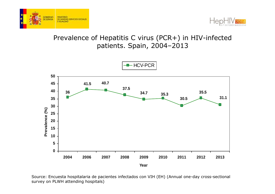



### Prevalence of Hepatitis C virus (PCR+) in HIV-infected patients. Spain, 2004–2013



Source: Encuesta hospitalaria de pacientes infectados con VIH (EH) (Annual one-day cross-sectional survey on PLWH attending hospitals)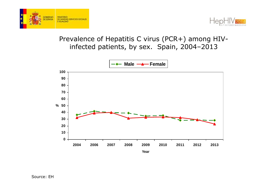



### Prevalence of Hepatitis C virus (PCR+) among HIVinfected patients, by sex. Spain, 2004–2013

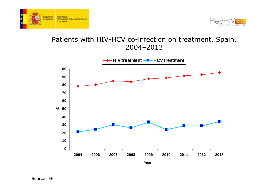



#### Patients with HIV-HCV co-infection on treatment. Spain, 2004–2013

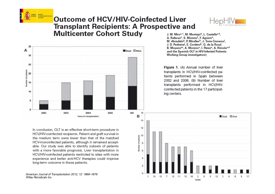

#### **Outcome of HCV/HIV-Coinfected Liver Transplant Recipients: A Prospective and Multicenter Cohort Study**



35 A Dead **Balive** 30  $25$  $20$  $\overline{B}$ 15 10 5  $\Omega$ 200 16 2002 2003 2004 2005 Years of transplantation

J. M. Miro<sup>a,\*</sup>, M. Montejo<sup>b</sup>, L. Castells<sup>c,d</sup>. A. Rafecas<sup>e</sup>, S. Moreno<sup>f</sup>, F. Aguero<sup>a</sup>, M. Abradelo<sup>g</sup>, P. Miralles<sup>h</sup>, J. Torre-Cisneros<sup>i</sup>, J. D. Pedreira<sup>j</sup>, E. Cordero<sup>k</sup>, G. de la Rosa<sup>l</sup>, B. Moyano<sup>m</sup>, A. Moreno<sup>a</sup>, I. Perez<sup>a</sup>, A. Rimola<sup>a,d</sup> and the Spanish OLT in HIV-Infected Patients **Working Group investigators**†

Flaure 1. (A) Annual number of liver transplants in HCV/HIV-coinfected patients performed in Spain between 2002 and 2006. (B) Number of liver transplants performed in HCV/HIVcoinfected patients in the 17 participating centers.

In conclusion, OLT is an effective short-term procedure in HCV/HIV-coinfected recipients. Patient and graft survival in the medium term were lower than that of the matched HCV-monoinfected patients, although it remained acceptable. Our study was able to identify subsets of patients with a more favorable prognosis. Liver transplantation in HCV/HIV-coinfected patients restricted to sites with more experience and better anti-HCV therapies could improve long-term outcome in these patients.

American Journal of Transplantation 2012; 12: 1866-1876 Wiley Periodicals Inc.

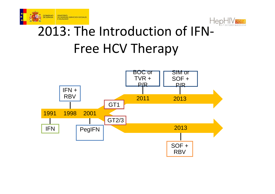



## 2013: The Introduction of IFN-Free HCV Therapy

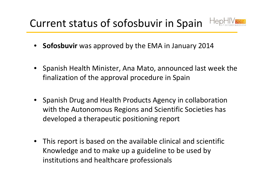## Current status of sofosbuvir in Spain



- •**Sofosbuvir** was approved by the EMA in January 2014
- Spanish Health Minister, Ana Mato, announced last week the finalization of the approval procedure in Spain
- Spanish Drug and Health Products Agency in collaboration with the Autonomous Regions and Scientific Societies has developed a therapeutic positioning report
- $\bullet$  This report is based on the available clinical and scientific Knowledge and to make up a guideline to be used by institutions and healthcare professionals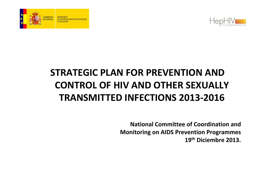



## **STRATEGIC PLAN FOR PREVENTION AND CONTROL OF HIV AND OTHER SEXUALLY TRANSMITTED INFECTIONS 2013-2016**

**National Committee of Coordination and Monitoring on AIDS Prevention Programmes 19th Diciembre 2013.**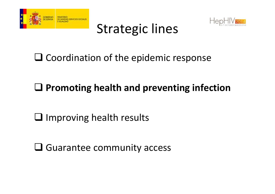





# $\square$  Coordination of the epidemic response

# **Promoting health and preventing infection**

- $\Box$  Improving health results
- Guarantee community access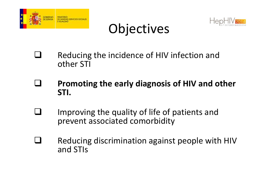

## **Objectives**



- $\Box$  Reducing the incidence of HIV infection and other STI
- $\Box$  **Promoting the early diagnosis of HIV and other STI.**
- $\Box$  Improving the quality of life of patients and prevent associated comorbidity
- $\Box$  Reducing discrimination against people with HIV and STIs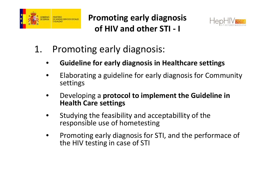

**Promoting early diagnosis of HIV and other STI - <sup>I</sup>**



- 1. Promoting early diagnosis:
	- •**Guideline for early diagnosis in Healthcare settings**
	- •• Elaborating a guideline for early diagnosis for Community settings
	- • Developing a **protocol to implement the Guideline in Health Care settings**
	- • Studying the feasibility and acceptabillity of the responsible use of hometesting
	- • Promoting early diagnosis for STI, and the performace of the HIV testing in case of STI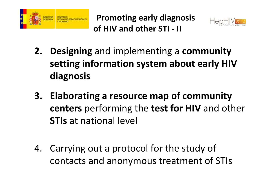

**Promoting early diagnosis of HIV and other STI - II** 



- **2. Designing** and implementing <sup>a</sup>**community setting information system about early HIV diagnosis**
- **3. Elaborating a resource map of community centers** performing the **test for HIV** and other **STIs** at national level
- 4. Carrying out a protocol for the study of contacts and anonymous treatment of STIs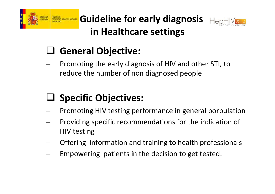

**Guideline for early diagnosis in Healthcare settings**



# General Objective:

**Links of the Common**  Promoting the early diagnosis of HIV and other STI, to reduce the number of non diagnosed people

# **Specific Objectives:**

- and the state of the Promoting HIV testing performance in general porpulation
- and the state of the Providing specific recommendations for the indication of HIV testing
- **Links of the Common** Offering information and training to health professionals
- **Links of the Common** Empowering patients in the decision to get tested.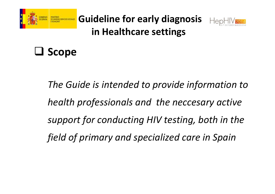

**Guideline for early diagnosis in Healthcare settings**



# **Scope**

*The Guide is intended to provide information tohealth professionals and the neccesary active support for conducting HIV testing, both in the field of primary and specialized care in Spain*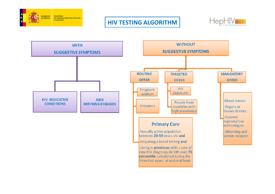

#### **HIV TESTING ALGORITHM**